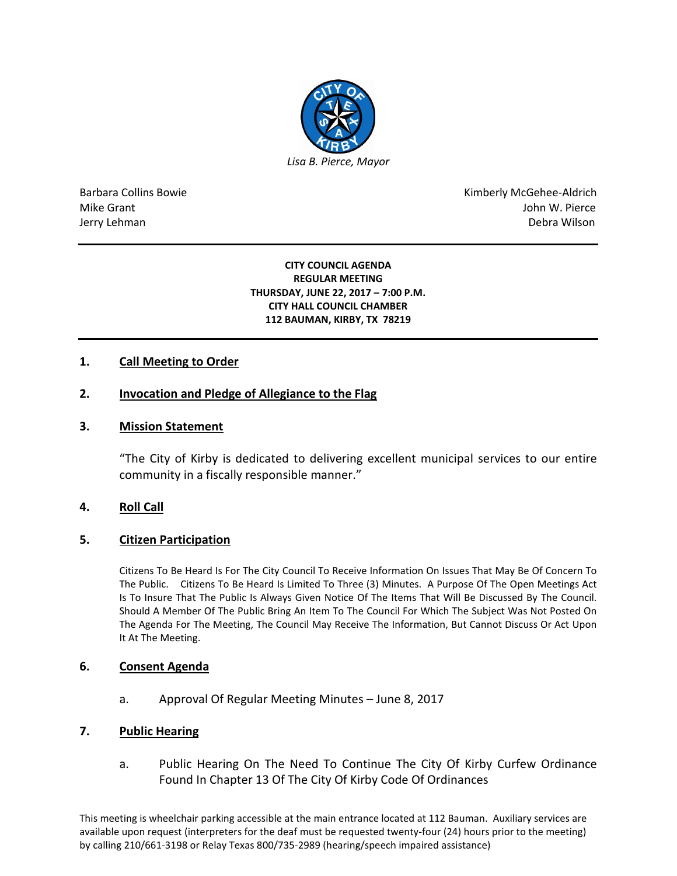

Barbara Collins Bowie **Kimberly McGehee-Aldrich** Mike Grant John W. Pierce Jerry Lehman Debra Wilson (2008) and the state of the state of the state of the state of the state of the state of the state of the state of the state of the state of the state of the state of the state of the state of the

#### **CITY COUNCIL AGENDA REGULAR MEETING THURSDAY, JUNE 22, 2017 – 7:00 P.M. CITY HALL COUNCIL CHAMBER 112 BAUMAN, KIRBY, TX 78219**

## **1. Call Meeting to Order**

## **2. Invocation and Pledge of Allegiance to the Flag**

### **3. Mission Statement**

"The City of Kirby is dedicated to delivering excellent municipal services to our entire community in a fiscally responsible manner."

## **4. Roll Call**

#### **5. Citizen Participation**

Citizens To Be Heard Is For The City Council To Receive Information On Issues That May Be Of Concern To The Public. Citizens To Be Heard Is Limited To Three (3) Minutes. A Purpose Of The Open Meetings Act Is To Insure That The Public Is Always Given Notice Of The Items That Will Be Discussed By The Council. Should A Member Of The Public Bring An Item To The Council For Which The Subject Was Not Posted On The Agenda For The Meeting, The Council May Receive The Information, But Cannot Discuss Or Act Upon It At The Meeting.

#### **6. Consent Agenda**

a. Approval Of Regular Meeting Minutes – June 8, 2017

#### **7. Public Hearing**

a. Public Hearing On The Need To Continue The City Of Kirby Curfew Ordinance Found In Chapter 13 Of The City Of Kirby Code Of Ordinances

This meeting is wheelchair parking accessible at the main entrance located at 112 Bauman. Auxiliary services are available upon request (interpreters for the deaf must be requested twenty-four (24) hours prior to the meeting) by calling 210/661-3198 or Relay Texas 800/735-2989 (hearing/speech impaired assistance)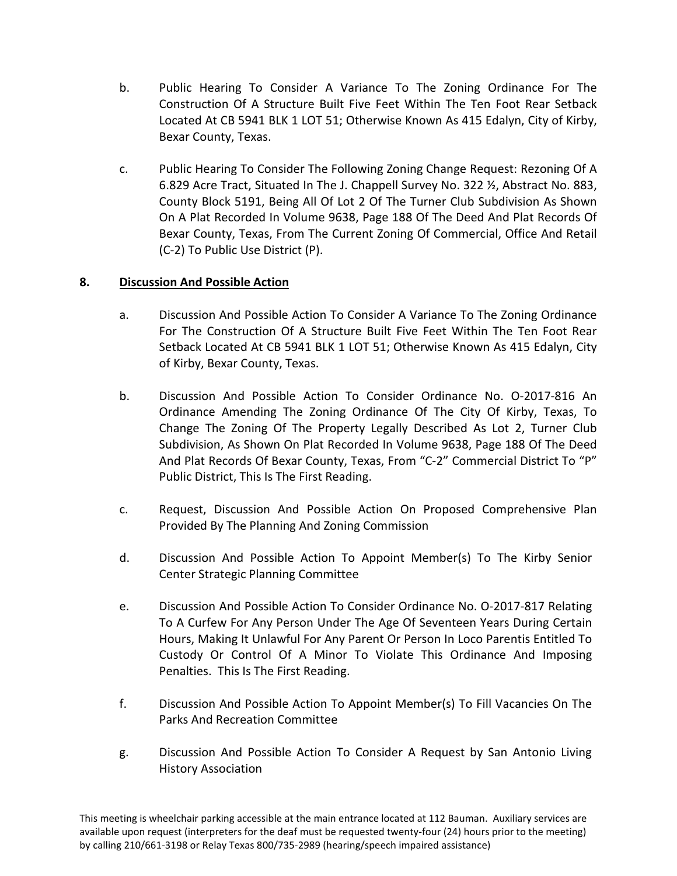- b. Public Hearing To Consider A Variance To The Zoning Ordinance For The Construction Of A Structure Built Five Feet Within The Ten Foot Rear Setback Located At CB 5941 BLK 1 LOT 51; Otherwise Known As 415 Edalyn, City of Kirby, Bexar County, Texas.
- c. Public Hearing To Consider The Following Zoning Change Request: Rezoning Of A 6.829 Acre Tract, Situated In The J. Chappell Survey No. 322 ½, Abstract No. 883, County Block 5191, Being All Of Lot 2 Of The Turner Club Subdivision As Shown On A Plat Recorded In Volume 9638, Page 188 Of The Deed And Plat Records Of Bexar County, Texas, From The Current Zoning Of Commercial, Office And Retail (C-2) To Public Use District (P).

# **8. Discussion And Possible Action**

- a. Discussion And Possible Action To Consider A Variance To The Zoning Ordinance For The Construction Of A Structure Built Five Feet Within The Ten Foot Rear Setback Located At CB 5941 BLK 1 LOT 51; Otherwise Known As 415 Edalyn, City of Kirby, Bexar County, Texas.
- b. Discussion And Possible Action To Consider Ordinance No. O-2017-816 An Ordinance Amending The Zoning Ordinance Of The City Of Kirby, Texas, To Change The Zoning Of The Property Legally Described As Lot 2, Turner Club Subdivision, As Shown On Plat Recorded In Volume 9638, Page 188 Of The Deed And Plat Records Of Bexar County, Texas, From "C-2" Commercial District To "P" Public District, This Is The First Reading.
- c. Request, Discussion And Possible Action On Proposed Comprehensive Plan Provided By The Planning And Zoning Commission
- d. Discussion And Possible Action To Appoint Member(s) To The Kirby Senior Center Strategic Planning Committee
- e. Discussion And Possible Action To Consider Ordinance No. O-2017-817 Relating To A Curfew For Any Person Under The Age Of Seventeen Years During Certain Hours, Making It Unlawful For Any Parent Or Person In Loco Parentis Entitled To Custody Or Control Of A Minor To Violate This Ordinance And Imposing Penalties. This Is The First Reading.
- f. Discussion And Possible Action To Appoint Member(s) To Fill Vacancies On The Parks And Recreation Committee
- g. Discussion And Possible Action To Consider A Request by San Antonio Living History Association